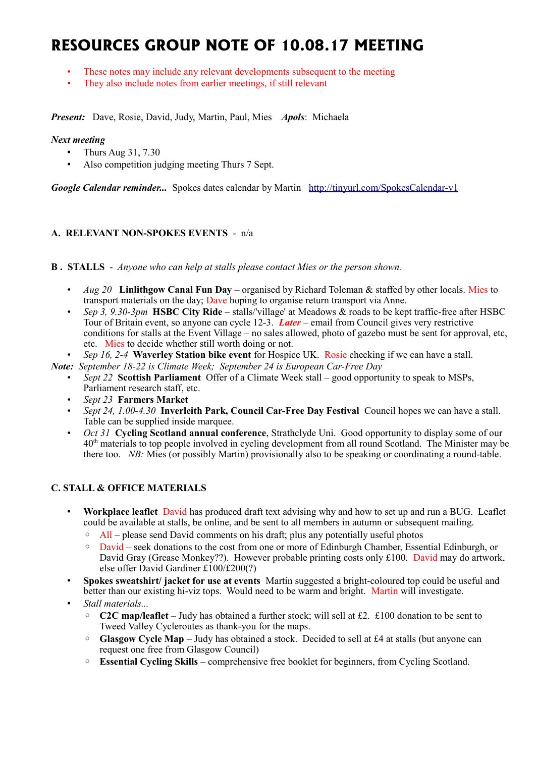# **RESOURCES GROUP NOTE OF 10.08.17 MEETING**

- These notes may include any relevant developments subsequent to the meeting
- They also include notes from earlier meetings, if still relevant

*Present:* Dave, Rosie, David, Judy, Martin, Paul, Mies *Apols*: Michaela

#### *Next meeting*

- Thurs Aug 31, 7.30
- Also competition judging meeting Thurs 7 Sept.

*Google Calendar reminder...* Spokes dates calendar by Martin <http://tinyurl.com/SpokesCalendar-v1>

#### **A. RELEVANT NON-SPOKES EVENTS** - n/a

**B . STALLS** - *Anyone who can help at stalls please contact Mies or the person shown.*

- *Aug 20* **Linlithgow Canal Fun Day** organised by Richard Toleman & staffed by other locals. Mies to transport materials on the day; Dave hoping to organise return transport via Anne.
- *Sep 3, 9.30-3pm* **HSBC City Ride** stalls/'village' at Meadows & roads to be kept traffic-free after HSBC Tour of Britain event, so anyone can cycle 12-3. *Later* – email from Council gives very restrictive conditions for stalls at the Event Village – no sales allowed, photo of gazebo must be sent for approval, etc, etc. Mies to decide whether still worth doing or not.
- *Sep 16, 2-4* **Waverley Station bike event** for Hospice UK. Rosie checking if we can have a stall.

*Note: September 18-22 is Climate Week; September 24 is European Car-Free Day*

- *Sept 22* **Scottish Parliament** Offer of a Climate Week stall good opportunity to speak to MSPs, Parliament research staff, etc.
- *Sept 23* **Farmers Market**
- *Sept 24, 1.00-4.30* **Inverleith Park, Council Car-Free Day Festival** Council hopes we can have a stall. Table can be supplied inside marquee.
- *Oct 31* **Cycling Scotland annual conference**, Strathclyde Uni. Good opportunity to display some of our 40th materials to top people involved in cycling development from all round Scotland. The Minister may be there too. *NB:* Mies (or possibly Martin) provisionally also to be speaking or coordinating a round-table.

#### **C. STALL & OFFICE MATERIALS**

- **Workplace leaflet** David has produced draft text advising why and how to set up and run a BUG. Leaflet could be available at stalls, be online, and be sent to all members in autumn or subsequent mailing.
	- All please send David comments on his draft; plus any potentially useful photos
	- David seek donations to the cost from one or more of Edinburgh Chamber, Essential Edinburgh, or David Gray (Grease Monkey??). However probable printing costs only £100. David may do artwork, else offer David Gardiner £100/£200(?)
- **Spokes sweatshirt/ jacket for use at events** Martin suggested a bright-coloured top could be useful and better than our existing hi-viz tops. Would need to be warm and bright. Martin will investigate.
- *Stall materials...*
	- **C2C map/leaflet** Judy has obtained a further stock; will sell at £2. £100 donation to be sent to Tweed Valley Cycleroutes as thank-you for the maps.
	- Glasgow Cycle Map Judy has obtained a stock. Decided to sell at £4 at stalls (but anyone can request one free from Glasgow Council)
	- **Essential Cycling Skills** comprehensive free booklet for beginners, from Cycling Scotland.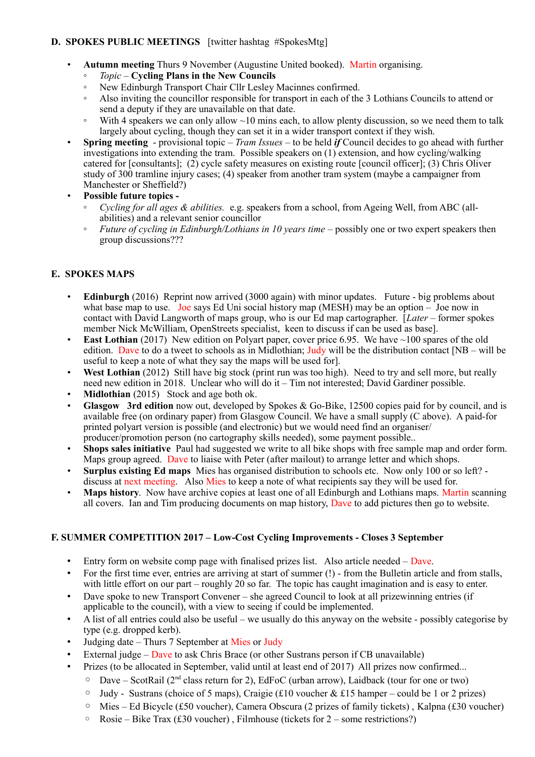# **D. SPOKES PUBLIC MEETINGS** [twitter hashtag #SpokesMtg]

- **Autumn meeting** Thurs 9 November (Augustine United booked). Martin organising.
	- *Topic* **Cycling Plans in the New Councils**
	- New Edinburgh Transport Chair Cllr Lesley Macinnes confirmed.
	- Also inviting the councillor responsible for transport in each of the 3 Lothians Councils to attend or send a deputy if they are unavailable on that date.
	- $\degree$  With 4 speakers we can only allow  $\sim$ 10 mins each, to allow plenty discussion, so we need them to talk largely about cycling, though they can set it in a wider transport context if they wish.
- **Spring meeting** provisional topic *Tram Issues* to be held *if* Council decides to go ahead with further investigations into extending the tram. Possible speakers on (1) extension, and how cycling/walking catered for [consultants]; (2) cycle safety measures on existing route [council officer]; (3) Chris Oliver study of 300 tramline injury cases; (4) speaker from another tram system (maybe a campaigner from Manchester or Sheffield?)
- **Possible future topics -**
	- *Cycling for all ages & abilities.* e.g. speakers from a school, from Ageing Well, from ABC (allabilities) and a relevant senior councillor
	- *Future of cycling in Edinburgh/Lothians in 10 years time* possibly one or two expert speakers then group discussions???

# **E. SPOKES MAPS**

- **Edinburgh** (2016) Reprint now arrived (3000 again) with minor updates. Future big problems about what base map to use. Joe says Ed Uni social history map (MESH) may be an option – Joe now in contact with David Langworth of maps group, who is our Ed map cartographer. [*Later* – former spokes member Nick McWilliam, OpenStreets specialist, keen to discuss if can be used as base].
- **East Lothian** (2017) New edition on Polyart paper, cover price 6.95. We have ~100 spares of the old edition. Dave to do a tweet to schools as in Midlothian; Judy will be the distribution contact  $[NB - will$  be useful to keep a note of what they say the maps will be used for].
- West Lothian (2012) Still have big stock (print run was too high). Need to try and sell more, but really need new edition in 2018. Unclear who will do it – Tim not interested; David Gardiner possible.
- **Midlothian** (2015) Stock and age both ok.
- **Glasgow 3rd edition** now out, developed by Spokes & Go-Bike, 12500 copies paid for by council, and is available free (on ordinary paper) from Glasgow Council. We have a small supply (C above). A paid-for printed polyart version is possible (and electronic) but we would need find an organiser/ producer/promotion person (no cartography skills needed), some payment possible..
- **Shops sales initiative** Paul had suggested we write to all bike shops with free sample map and order form. Maps group agreed. Dave to liaise with Peter (after mailout) to arrange letter and which shops.
- **Surplus existing Ed maps** Mies has organised distribution to schools etc. Now only 100 or so left? discuss at next meeting. Also Mies to keep a note of what recipients say they will be used for.
- **Maps history.** Now have archive copies at least one of all Edinburgh and Lothians maps. Martin scanning all covers. Ian and Tim producing documents on map history, Dave to add pictures then go to website.

#### **F. SUMMER COMPETITION 2017 – Low-Cost Cycling Improvements - Closes 3 September**

- Entry form on website comp page with finalised prizes list. Also article needed Dave.
- For the first time ever, entries are arriving at start of summer (!) from the Bulletin article and from stalls, with little effort on our part – roughly 20 so far. The topic has caught imagination and is easy to enter.
- Dave spoke to new Transport Convener she agreed Council to look at all prizewinning entries (if applicable to the council), with a view to seeing if could be implemented.
- A list of all entries could also be useful we usually do this anyway on the website possibly categorise by type (e.g. dropped kerb).
- Judging date Thurs 7 September at Mies or Judy
- External judge Dave to ask Chris Brace (or other Sustrans person if CB unavailable)
- Prizes (to be allocated in September, valid until at least end of 2017) All prizes now confirmed...
	- $\circ$  Dave ScotRail (2<sup>nd</sup> class return for 2), EdFoC (urban arrow), Laidback (tour for one or two)
	- $\circ$  Judy Sustrans (choice of 5 maps), Craigie (£10 voucher & £15 hamper could be 1 or 2 prizes)
	- Mies Ed Bicycle (£50 voucher), Camera Obscura (2 prizes of family tickets) , Kalpna (£30 voucher)
	- Rosie Bike Trax (£30 voucher), Filmhouse (tickets for  $2$  some restrictions?)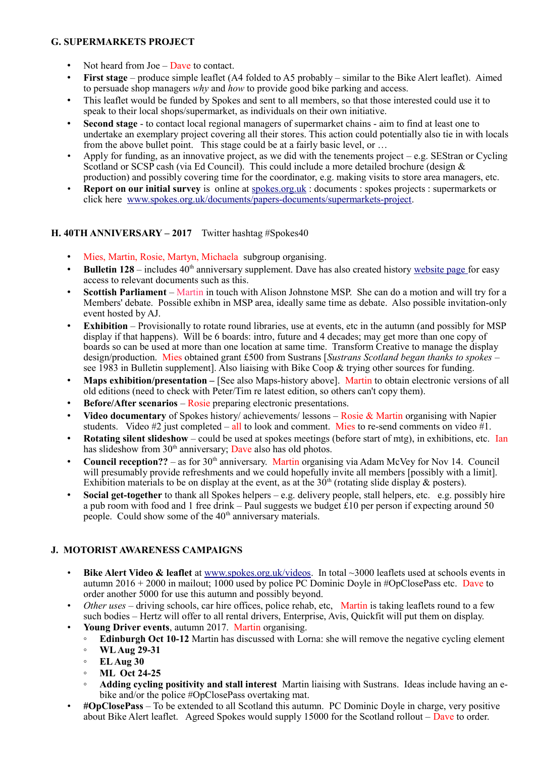### **G. SUPERMARKETS PROJECT**

- Not heard from  $Joe Dave$  to contact.
- **First stage** produce simple leaflet (A4 folded to A5 probably similar to the Bike Alert leaflet). Aimed to persuade shop managers *why* and *how* to provide good bike parking and access.
- This leaflet would be funded by Spokes and sent to all members, so that those interested could use it to speak to their local shops/supermarket, as individuals on their own initiative.
- **Second stage**  to contact local regional managers of supermarket chains aim to find at least one to undertake an exemplary project covering all their stores. This action could potentially also tie in with locals from the above bullet point. This stage could be at a fairly basic level, or ...
- Apply for funding, as an innovative project, as we did with the tenements project  $-e.g.$  SEStran or Cycling Scotland or SCSP cash (via Ed Council). This could include a more detailed brochure (design & production) and possibly covering time for the coordinator, e.g. making visits to store area managers, etc.
- **Report on our initial survey** is online at spokes.org.uk: documents : spokes projects : supermarkets or click here [www.spokes.org.uk/documents/papers-documents/supermarkets-project.](http://www.spokes.org.uk/documents/papers-documents/supermarkets-project)

#### **H. 40TH ANNIVERSARY – 2017** Twitter hashtag #Spokes40

- Mies, Martin, Rosie, Martyn, Michaela subgroup organising.
- **Bulletin 128** includes  $40<sup>th</sup>$  anniversary supplement. Dave has also created history [website page f](http://www.spokes.org.uk/documents/odds-and-ends-may-be-exciting/spokes-history/)or easy access to relevant documents such as this.
- **Scottish Parliament**  Martin in touch with Alison Johnstone MSP. She can do a motion and will try for a Members' debate. Possible exhibn in MSP area, ideally same time as debate. Also possible invitation-only event hosted by AJ.
- **Exhibition** Provisionally to rotate round libraries, use at events, etc in the autumn (and possibly for MSP) display if that happens). Will be 6 boards: intro, future and 4 decades; may get more than one copy of boards so can be used at more than one location at same time. Transform Creative to manage the display design/production. Mies obtained grant £500 from Sustrans [*Sustrans Scotland began thanks to spokes* – see 1983 in Bulletin supplement]. Also liaising with Bike Coop & trying other sources for funding.
- **Maps exhibition/presentation –** [See also Maps-history above]. Martin to obtain electronic versions of all old editions (need to check with Peter/Tim re latest edition, so others can't copy them).
- **Before/After scenarios** Rosie preparing electronic presentations.
- **Video documentary** of Spokes history/ achievements/ lessons Rosie & Martin organising with Napier students. Video #2 just completed – all to look and comment. Mies to re-send comments on video  $#1$ .
- **Rotating silent slideshow** could be used at spokes meetings (before start of mtg), in exhibitions, etc. Ian has slideshow from 30<sup>th</sup> anniversary; Dave also has old photos.
- **Council reception??** as for 30<sup>th</sup> anniversary. Martin organising via Adam McVey for Nov 14. Council will presumably provide refreshments and we could hopefully invite all members [possibly with a limit]. Exhibition materials to be on display at the event, as at the  $30<sup>th</sup>$  (rotating slide display & posters).
- **Social get-together** to thank all Spokes helpers e.g. delivery people, stall helpers, etc. e.g. possibly hire a pub room with food and 1 free drink – Paul suggests we budget  $\hat{\mathfrak{L}}$  10 per person if expecting around 50 people. Could show some of the 40<sup>th</sup> anniversary materials.

# **J. MOTORIST AWARENESS CAMPAIGNS**

- **Bike Alert Video & leaflet** at [www.spokes.org.uk/videos.](http://www.spokes.org.uk/videos) In total ~3000 leaflets used at schools events in autumn 2016 + 2000 in mailout; 1000 used by police PC Dominic Doyle in #OpClosePass etc. Dave to order another 5000 for use this autumn and possibly beyond.
- *Other uses* driving schools, car hire offices, police rehab, etc, Martin is taking leaflets round to a few such bodies – Hertz will offer to all rental drivers, Enterprise, Avis, Quickfit will put them on display.
- **Young Driver events**, autumn 2017. Martin organising.
	- **Edinburgh Oct 10-12** Martin has discussed with Lorna: she will remove the negative cycling element
	- **WL Aug 29-31**
	- **EL Aug 30**
	- **ML Oct 24-25**
	- **Adding cycling positivity and stall interest** Martin liaising with Sustrans. Ideas include having an ebike and/or the police #OpClosePass overtaking mat.
- **#OpClosePass** To be extended to all Scotland this autumn. PC Dominic Doyle in charge, very positive about Bike Alert leaflet. Agreed Spokes would supply 15000 for the Scotland rollout – Dave to order.